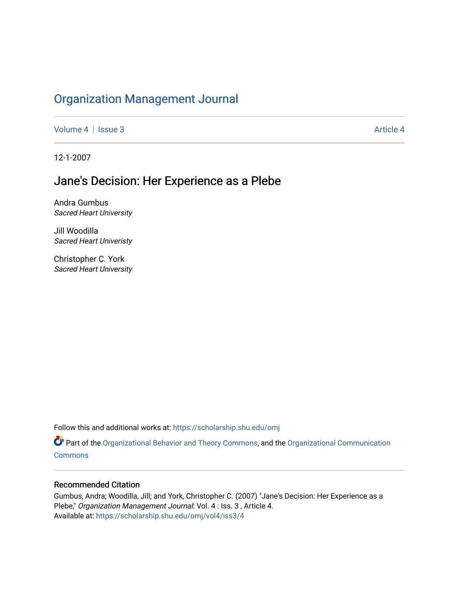## [Organization Management Journal](https://scholarship.shu.edu/omj)

[Volume 4](https://scholarship.shu.edu/omj/vol4) | [Issue 3](https://scholarship.shu.edu/omj/vol4/iss3) Article 4

12-1-2007

## Jane's Decision: Her Experience as a Plebe

Andra Gumbus Sacred Heart University

Jill Woodilla Sacred Heart Univeristy

Christopher C. York Sacred Heart University

Follow this and additional works at: [https://scholarship.shu.edu/omj](https://scholarship.shu.edu/omj?utm_source=scholarship.shu.edu%2Fomj%2Fvol4%2Fiss3%2F4&utm_medium=PDF&utm_campaign=PDFCoverPages) 

Part of the [Organizational Behavior and Theory Commons,](http://network.bepress.com/hgg/discipline/639?utm_source=scholarship.shu.edu%2Fomj%2Fvol4%2Fiss3%2F4&utm_medium=PDF&utm_campaign=PDFCoverPages) and the [Organizational Communication](http://network.bepress.com/hgg/discipline/335?utm_source=scholarship.shu.edu%2Fomj%2Fvol4%2Fiss3%2F4&utm_medium=PDF&utm_campaign=PDFCoverPages) **[Commons](http://network.bepress.com/hgg/discipline/335?utm_source=scholarship.shu.edu%2Fomj%2Fvol4%2Fiss3%2F4&utm_medium=PDF&utm_campaign=PDFCoverPages)** 

#### Recommended Citation

Gumbus, Andra; Woodilla, Jill; and York, Christopher C. (2007) "Jane's Decision: Her Experience as a Plebe," Organization Management Journal: Vol. 4 : Iss. 3 , Article 4. Available at: [https://scholarship.shu.edu/omj/vol4/iss3/4](https://scholarship.shu.edu/omj/vol4/iss3/4?utm_source=scholarship.shu.edu%2Fomj%2Fvol4%2Fiss3%2F4&utm_medium=PDF&utm_campaign=PDFCoverPages)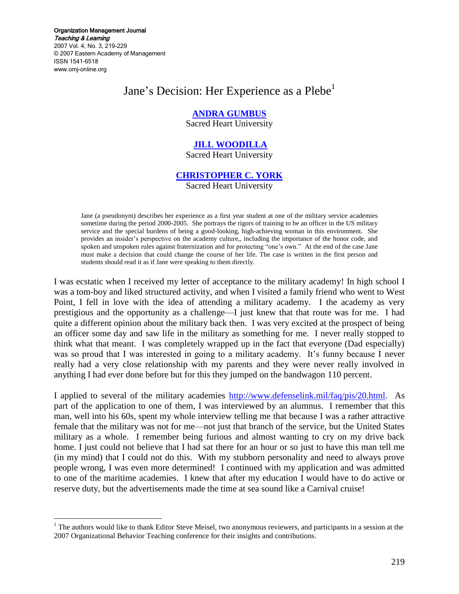Organization Management Journal Teaching & Learning 2007 Vol. 4, No. 3, 219-229 © 2007 Eastern Academy of Management ISSN 1541-6518 www.omj-online.org

 $\overline{a}$ 

# Jane's Decision: Her Experience as a Plebe<sup>1</sup>

#### **[ANDRA GUMBUS](mailto:gumbus@sacredheart.edu)**

Sacred Heart University

#### **[JILL WOODILLA](mailto:woodillaj@sacredheart.edu)**

Sacred Heart University

#### **[CHRISTOPHER C. YORK](mailto:yorkc@sacredheart.edu)**

Sacred Heart University

Jane (a pseudonym) describes her experience as a first year student at one of the military service academies sometime during the period 2000-2005. She portrays the rigors of training to be an officer in the US military service and the special burdens of being a good-looking, high-achieving woman in this environment. She provides an insider's perspective on the academy culture,, including the importance of the honor code, and spoken and unspoken rules against fraternization and for protecting "one's own." At the end of the case Jane must make a decision that could change the course of her life. The case is written in the first person and students should read it as if Jane were speaking to them directly.

I was ecstatic when I received my letter of acceptance to the military academy! In high school I was a tom-boy and liked structured activity, and when I visited a family friend who went to West Point, I fell in love with the idea of attending a military academy. I the academy as very prestigious and the opportunity as a challenge—I just knew that that route was for me. I had quite a different opinion about the military back then. I was very excited at the prospect of being an officer some day and saw life in the military as something for me. I never really stopped to think what that meant. I was completely wrapped up in the fact that everyone (Dad especially) was so proud that I was interested in going to a military academy. It's funny because I never really had a very close relationship with my parents and they were never really involved in anything I had ever done before but for this they jumped on the bandwagon 110 percent.

I applied to several of the military academies [http://www.defenselink.mil/faq/pis/20.html.](http://www.defenselink.mil/faq/pis/20.html) As part of the application to one of them, I was interviewed by an alumnus. I remember that this man, well into his 60s, spent my whole interview telling me that because I was a rather attractive female that the military was not for me—not just that branch of the service, but the United States military as a whole. I remember being furious and almost wanting to cry on my drive back home. I just could not believe that I had sat there for an hour or so just to have this man tell me (in my mind) that I could not do this. With my stubborn personality and need to always prove people wrong, I was even more determined! I continued with my application and was admitted to one of the maritime academies. I knew that after my education I would have to do active or reserve duty, but the advertisements made the time at sea sound like a Carnival cruise!

<sup>&</sup>lt;sup>1</sup> The authors would like to thank Editor Steve Meisel, two anonymous reviewers, and participants in a session at the 2007 Organizational Behavior Teaching conference for their insights and contributions.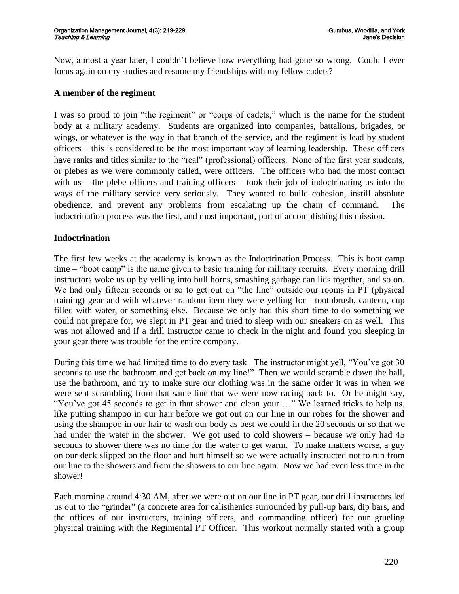Now, almost a year later, I couldn't believe how everything had gone so wrong. Could I ever focus again on my studies and resume my friendships with my fellow cadets?

#### **A member of the regiment**

I was so proud to join "the regiment" or "corps of cadets," which is the name for the student body at a military academy. Students are organized into companies, battalions, brigades, or wings, or whatever is the way in that branch of the service, and the regiment is lead by student officers – this is considered to be the most important way of learning leadership. These officers have ranks and titles similar to the "real" (professional) officers. None of the first year students, or plebes as we were commonly called, were officers. The officers who had the most contact with us – the plebe officers and training officers – took their job of indoctrinating us into the ways of the military service very seriously. They wanted to build cohesion, instill absolute obedience, and prevent any problems from escalating up the chain of command. The indoctrination process was the first, and most important, part of accomplishing this mission.

#### **Indoctrination**

The first few weeks at the academy is known as the Indoctrination Process. This is boot camp time – "boot camp" is the name given to basic training for military recruits. Every morning drill instructors woke us up by yelling into bull horns, smashing garbage can lids together, and so on. We had only fifteen seconds or so to get out on "the line" outside our rooms in PT (physical training) gear and with whatever random item they were yelling for—toothbrush, canteen, cup filled with water, or something else. Because we only had this short time to do something we could not prepare for, we slept in PT gear and tried to sleep with our sneakers on as well. This was not allowed and if a drill instructor came to check in the night and found you sleeping in your gear there was trouble for the entire company.

During this time we had limited time to do every task. The instructor might yell, "You've got 30 seconds to use the bathroom and get back on my line!" Then we would scramble down the hall, use the bathroom, and try to make sure our clothing was in the same order it was in when we were sent scrambling from that same line that we were now racing back to. Or he might say, "You've got 45 seconds to get in that shower and clean your ..." We learned tricks to help us, like putting shampoo in our hair before we got out on our line in our robes for the shower and using the shampoo in our hair to wash our body as best we could in the 20 seconds or so that we had under the water in the shower. We got used to cold showers – because we only had 45 seconds to shower there was no time for the water to get warm. To make matters worse, a guy on our deck slipped on the floor and hurt himself so we were actually instructed not to run from our line to the showers and from the showers to our line again. Now we had even less time in the shower!

Each morning around 4:30 AM, after we were out on our line in PT gear, our drill instructors led us out to the "grinder" (a concrete area for calisthenics surrounded by pull-up bars, dip bars, and the offices of our instructors, training officers, and commanding officer) for our grueling physical training with the Regimental PT Officer. This workout normally started with a group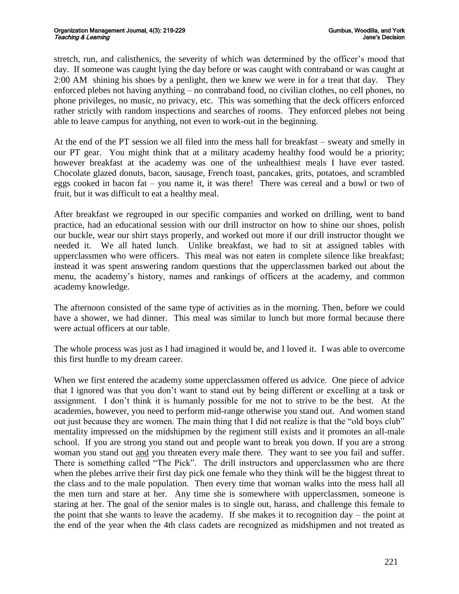stretch, run, and calisthenics, the severity of which was determined by the officer's mood that day. If someone was caught lying the day before or was caught with contraband or was caught at 2:00 AM shining his shoes by a penlight, then we knew we were in for a treat that day. They enforced plebes not having anything – no contraband food, no civilian clothes, no cell phones, no phone privileges, no music, no privacy, etc. This was something that the deck officers enforced rather strictly with random inspections and searches of rooms. They enforced plebes not being able to leave campus for anything, not even to work-out in the beginning.

At the end of the PT session we all filed into the mess hall for breakfast – sweaty and smelly in our PT gear. You might think that at a military academy healthy food would be a priority; however breakfast at the academy was one of the unhealthiest meals I have ever tasted. Chocolate glazed donuts, bacon, sausage, French toast, pancakes, grits, potatoes, and scrambled eggs cooked in bacon fat – you name it, it was there! There was cereal and a bowl or two of fruit, but it was difficult to eat a healthy meal.

After breakfast we regrouped in our specific companies and worked on drilling, went to band practice, had an educational session with our drill instructor on how to shine our shoes, polish our buckle, wear our shirt stays properly, and worked out more if our drill instructor thought we needed it. We all hated lunch. Unlike breakfast, we had to sit at assigned tables with upperclassmen who were officers. This meal was not eaten in complete silence like breakfast; instead it was spent answering random questions that the upperclassmen barked out about the menu, the academy's history, names and rankings of officers at the academy, and common academy knowledge.

The afternoon consisted of the same type of activities as in the morning. Then, before we could have a shower, we had dinner. This meal was similar to lunch but more formal because there were actual officers at our table.

The whole process was just as I had imagined it would be, and I loved it. I was able to overcome this first hurdle to my dream career.

When we first entered the academy some upperclassmen offered us advice. One piece of advice that I ignored was that you don't want to stand out by being different or excelling at a task or assignment. I don't think it is humanly possible for me not to strive to be the best. At the academies, however, you need to perform mid-range otherwise you stand out. And women stand out just because they are women. The main thing that I did not realize is that the "old boys club" mentality impressed on the midshipmen by the regiment still exists and it promotes an all-male school. If you are strong you stand out and people want to break you down. If you are a strong woman you stand out and you threaten every male there. They want to see you fail and suffer. There is something called "The Pick". The drill instructors and upperclassmen who are there when the plebes arrive their first day pick one female who they think will be the biggest threat to the class and to the male population. Then every time that woman walks into the mess hall all the men turn and stare at her. Any time she is somewhere with upperclassmen, someone is staring at her. The goal of the senior males is to single out, harass, and challenge this female to the point that she wants to leave the academy. If she makes it to recognition day – the point at the end of the year when the 4th class cadets are recognized as midshipmen and not treated as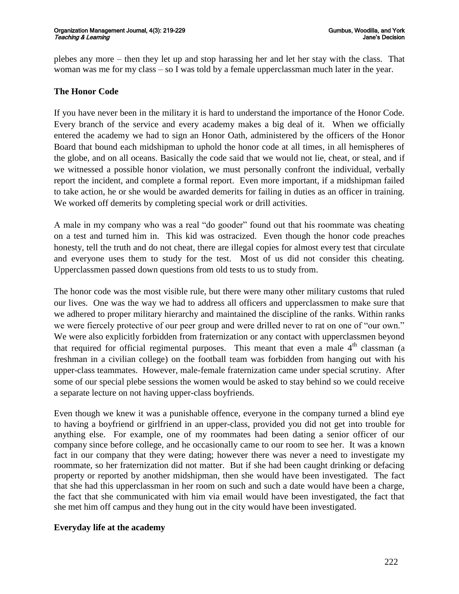plebes any more – then they let up and stop harassing her and let her stay with the class. That woman was me for my class – so I was told by a female upperclassman much later in the year.

### **The Honor Code**

If you have never been in the military it is hard to understand the importance of the Honor Code. Every branch of the service and every academy makes a big deal of it. When we officially entered the academy we had to sign an Honor Oath, administered by the officers of the Honor Board that bound each midshipman to uphold the honor code at all times, in all hemispheres of the globe, and on all oceans. Basically the code said that we would not lie, cheat, or steal, and if we witnessed a possible honor violation, we must personally confront the individual, verbally report the incident, and complete a formal report. Even more important, if a midshipman failed to take action, he or she would be awarded demerits for failing in duties as an officer in training. We worked off demerits by completing special work or drill activities.

A male in my company who was a real "do gooder" found out that his roommate was cheating on a test and turned him in. This kid was ostracized. Even though the honor code preaches honesty, tell the truth and do not cheat, there are illegal copies for almost every test that circulate and everyone uses them to study for the test. Most of us did not consider this cheating. Upperclassmen passed down questions from old tests to us to study from.

The honor code was the most visible rule, but there were many other military customs that ruled our lives. One was the way we had to address all officers and upperclassmen to make sure that we adhered to proper military hierarchy and maintained the discipline of the ranks. Within ranks we were fiercely protective of our peer group and were drilled never to rat on one of "our own." We were also explicitly forbidden from fraternization or any contact with upperclassmen beyond that required for official regimental purposes. This meant that even a male  $4<sup>th</sup>$  classman (a freshman in a civilian college) on the football team was forbidden from hanging out with his upper-class teammates. However, male-female fraternization came under special scrutiny. After some of our special plebe sessions the women would be asked to stay behind so we could receive a separate lecture on not having upper-class boyfriends.

Even though we knew it was a punishable offence, everyone in the company turned a blind eye to having a boyfriend or girlfriend in an upper-class, provided you did not get into trouble for anything else. For example, one of my roommates had been dating a senior officer of our company since before college, and he occasionally came to our room to see her. It was a known fact in our company that they were dating; however there was never a need to investigate my roommate, so her fraternization did not matter. But if she had been caught drinking or defacing property or reported by another midshipman, then she would have been investigated. The fact that she had this upperclassman in her room on such and such a date would have been a charge, the fact that she communicated with him via email would have been investigated, the fact that she met him off campus and they hung out in the city would have been investigated.

### **Everyday life at the academy**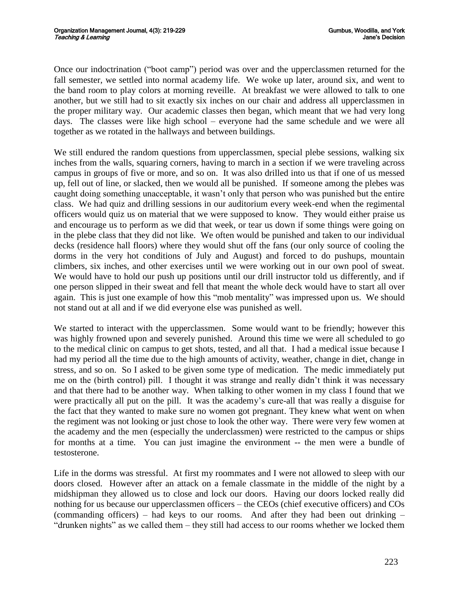Once our indoctrination ("boot camp") period was over and the upperclassmen returned for the fall semester, we settled into normal academy life. We woke up later, around six, and went to the band room to play colors at morning reveille. At breakfast we were allowed to talk to one another, but we still had to sit exactly six inches on our chair and address all upperclassmen in the proper military way. Our academic classes then began, which meant that we had very long days. The classes were like high school – everyone had the same schedule and we were all together as we rotated in the hallways and between buildings.

We still endured the random questions from upperclassmen, special plebe sessions, walking six inches from the walls, squaring corners, having to march in a section if we were traveling across campus in groups of five or more, and so on. It was also drilled into us that if one of us messed up, fell out of line, or slacked, then we would all be punished. If someone among the plebes was caught doing something unacceptable, it wasn't only that person who was punished but the entire class. We had quiz and drilling sessions in our auditorium every week-end when the regimental officers would quiz us on material that we were supposed to know. They would either praise us and encourage us to perform as we did that week, or tear us down if some things were going on in the plebe class that they did not like. We often would be punished and taken to our individual decks (residence hall floors) where they would shut off the fans (our only source of cooling the dorms in the very hot conditions of July and August) and forced to do pushups, mountain climbers, six inches, and other exercises until we were working out in our own pool of sweat. We would have to hold our push up positions until our drill instructor told us differently, and if one person slipped in their sweat and fell that meant the whole deck would have to start all over again. This is just one example of how this "mob mentality" was impressed upon us. We should not stand out at all and if we did everyone else was punished as well.

We started to interact with the upperclassmen. Some would want to be friendly; however this was highly frowned upon and severely punished. Around this time we were all scheduled to go to the medical clinic on campus to get shots, tested, and all that. I had a medical issue because I had my period all the time due to the high amounts of activity, weather, change in diet, change in stress, and so on. So I asked to be given some type of medication. The medic immediately put me on the (birth control) pill. I thought it was strange and really didn't think it was necessary and that there had to be another way. When talking to other women in my class I found that we were practically all put on the pill. It was the academy's cure-all that was really a disguise for the fact that they wanted to make sure no women got pregnant. They knew what went on when the regiment was not looking or just chose to look the other way. There were very few women at the academy and the men (especially the underclassmen) were restricted to the campus or ships for months at a time. You can just imagine the environment -- the men were a bundle of testosterone.

Life in the dorms was stressful. At first my roommates and I were not allowed to sleep with our doors closed. However after an attack on a female classmate in the middle of the night by a midshipman they allowed us to close and lock our doors. Having our doors locked really did nothing for us because our upperclassmen officers – the CEOs (chief executive officers) and COs (commanding officers) – had keys to our rooms. And after they had been out drinking – "drunken nights" as we called them – they still had access to our rooms whether we locked them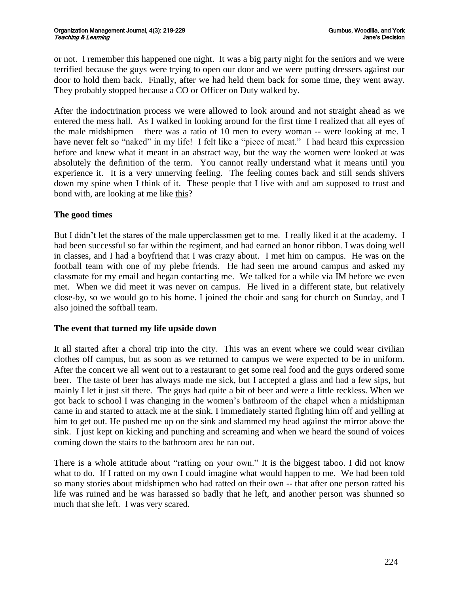or not. I remember this happened one night. It was a big party night for the seniors and we were terrified because the guys were trying to open our door and we were putting dressers against our door to hold them back. Finally, after we had held them back for some time, they went away. They probably stopped because a CO or Officer on Duty walked by.

After the indoctrination process we were allowed to look around and not straight ahead as we entered the mess hall. As I walked in looking around for the first time I realized that all eyes of the male midshipmen – there was a ratio of 10 men to every woman -- were looking at me. I have never felt so "naked" in my life! I felt like a "piece of meat." I had heard this expression before and knew what it meant in an abstract way, but the way the women were looked at was absolutely the definition of the term. You cannot really understand what it means until you experience it. It is a very unnerving feeling. The feeling comes back and still sends shivers down my spine when I think of it. These people that I live with and am supposed to trust and bond with, are looking at me like this?

### **The good times**

But I didn't let the stares of the male upperclassmen get to me. I really liked it at the academy. I had been successful so far within the regiment, and had earned an honor ribbon. I was doing well in classes, and I had a boyfriend that I was crazy about. I met him on campus. He was on the football team with one of my plebe friends. He had seen me around campus and asked my classmate for my email and began contacting me. We talked for a while via IM before we even met. When we did meet it was never on campus. He lived in a different state, but relatively close-by, so we would go to his home. I joined the choir and sang for church on Sunday, and I also joined the softball team.

#### **The event that turned my life upside down**

It all started after a choral trip into the city. This was an event where we could wear civilian clothes off campus, but as soon as we returned to campus we were expected to be in uniform. After the concert we all went out to a restaurant to get some real food and the guys ordered some beer. The taste of beer has always made me sick, but I accepted a glass and had a few sips, but mainly I let it just sit there. The guys had quite a bit of beer and were a little reckless. When we got back to school I was changing in the women's bathroom of the chapel when a midshipman came in and started to attack me at the sink. I immediately started fighting him off and yelling at him to get out. He pushed me up on the sink and slammed my head against the mirror above the sink. I just kept on kicking and punching and screaming and when we heard the sound of voices coming down the stairs to the bathroom area he ran out.

There is a whole attitude about "ratting on your own." It is the biggest taboo. I did not know what to do. If I ratted on my own I could imagine what would happen to me. We had been told so many stories about midshipmen who had ratted on their own -- that after one person ratted his life was ruined and he was harassed so badly that he left, and another person was shunned so much that she left. I was very scared.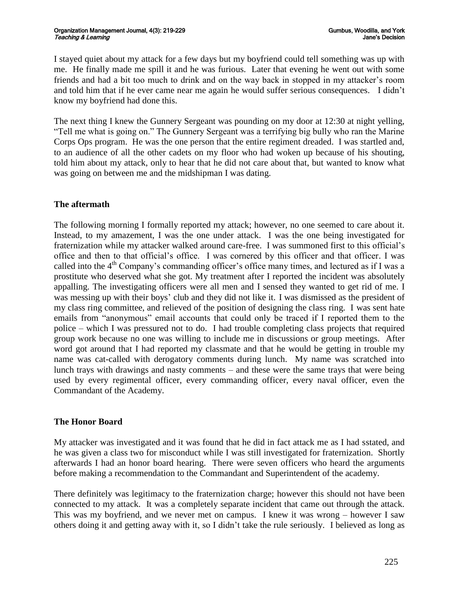I stayed quiet about my attack for a few days but my boyfriend could tell something was up with me. He finally made me spill it and he was furious. Later that evening he went out with some friends and had a bit too much to drink and on the way back in stopped in my attacker's room and told him that if he ever came near me again he would suffer serious consequences. I didn't know my boyfriend had done this.

The next thing I knew the Gunnery Sergeant was pounding on my door at 12:30 at night yelling, "Tell me what is going on." The Gunnery Sergeant was a terrifying big bully who ran the Marine Corps Ops program. He was the one person that the entire regiment dreaded. I was startled and, to an audience of all the other cadets on my floor who had woken up because of his shouting, told him about my attack, only to hear that he did not care about that, but wanted to know what was going on between me and the midshipman I was dating.

## **The aftermath**

The following morning I formally reported my attack; however, no one seemed to care about it. Instead, to my amazement, I was the one under attack. I was the one being investigated for fraternization while my attacker walked around care-free. I was summoned first to this official's office and then to that official's office. I was cornered by this officer and that officer. I was called into the  $4<sup>th</sup>$  Company's commanding officer's office many times, and lectured as if I was a prostitute who deserved what she got. My treatment after I reported the incident was absolutely appalling. The investigating officers were all men and I sensed they wanted to get rid of me. I was messing up with their boys' club and they did not like it. I was dismissed as the president of my class ring committee, and relieved of the position of designing the class ring. I was sent hate emails from "anonymous" email accounts that could only be traced if I reported them to the police – which I was pressured not to do. I had trouble completing class projects that required group work because no one was willing to include me in discussions or group meetings. After word got around that I had reported my classmate and that he would be getting in trouble my name was cat-called with derogatory comments during lunch. My name was scratched into lunch trays with drawings and nasty comments – and these were the same trays that were being used by every regimental officer, every commanding officer, every naval officer, even the Commandant of the Academy.

### **The Honor Board**

My attacker was investigated and it was found that he did in fact attack me as I had sstated, and he was given a class two for misconduct while I was still investigated for fraternization. Shortly afterwards I had an honor board hearing. There were seven officers who heard the arguments before making a recommendation to the Commandant and Superintendent of the academy.

There definitely was legitimacy to the fraternization charge; however this should not have been connected to my attack. It was a completely separate incident that came out through the attack. This was my boyfriend, and we never met on campus. I knew it was wrong – however I saw others doing it and getting away with it, so I didn't take the rule seriously. I believed as long as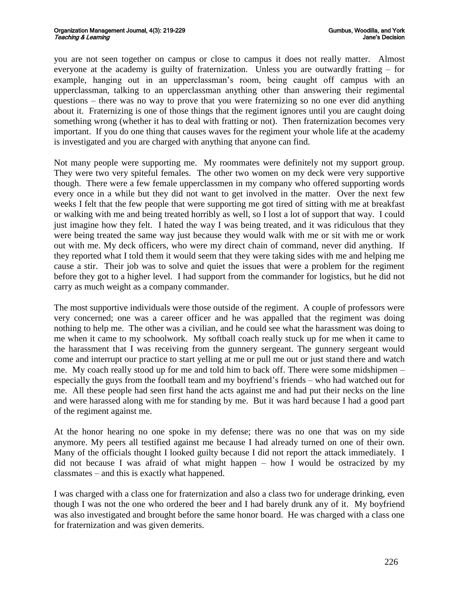you are not seen together on campus or close to campus it does not really matter. Almost everyone at the academy is guilty of fraternization. Unless you are outwardly fratting – for example, hanging out in an upperclassman's room, being caught off campus with an upperclassman, talking to an upperclassman anything other than answering their regimental questions – there was no way to prove that you were fraternizing so no one ever did anything about it. Fraternizing is one of those things that the regiment ignores until you are caught doing something wrong (whether it has to deal with fratting or not). Then fraternization becomes very important. If you do one thing that causes waves for the regiment your whole life at the academy is investigated and you are charged with anything that anyone can find.

Not many people were supporting me. My roommates were definitely not my support group. They were two very spiteful females. The other two women on my deck were very supportive though. There were a few female upperclassmen in my company who offered supporting words every once in a while but they did not want to get involved in the matter. Over the next few weeks I felt that the few people that were supporting me got tired of sitting with me at breakfast or walking with me and being treated horribly as well, so I lost a lot of support that way. I could just imagine how they felt. I hated the way I was being treated, and it was ridiculous that they were being treated the same way just because they would walk with me or sit with me or work out with me. My deck officers, who were my direct chain of command, never did anything. If they reported what I told them it would seem that they were taking sides with me and helping me cause a stir. Their job was to solve and quiet the issues that were a problem for the regiment before they got to a higher level. I had support from the commander for logistics, but he did not carry as much weight as a company commander.

The most supportive individuals were those outside of the regiment. A couple of professors were very concerned; one was a career officer and he was appalled that the regiment was doing nothing to help me. The other was a civilian, and he could see what the harassment was doing to me when it came to my schoolwork. My softball coach really stuck up for me when it came to the harassment that I was receiving from the gunnery sergeant. The gunnery sergeant would come and interrupt our practice to start yelling at me or pull me out or just stand there and watch me. My coach really stood up for me and told him to back off. There were some midshipmen – especially the guys from the football team and my boyfriend's friends – who had watched out for me. All these people had seen first hand the acts against me and had put their necks on the line and were harassed along with me for standing by me. But it was hard because I had a good part of the regiment against me.

At the honor hearing no one spoke in my defense; there was no one that was on my side anymore. My peers all testified against me because I had already turned on one of their own. Many of the officials thought I looked guilty because I did not report the attack immediately. I did not because I was afraid of what might happen – how I would be ostracized by my classmates – and this is exactly what happened.

I was charged with a class one for fraternization and also a class two for underage drinking, even though I was not the one who ordered the beer and I had barely drunk any of it. My boyfriend was also investigated and brought before the same honor board. He was charged with a class one for fraternization and was given demerits.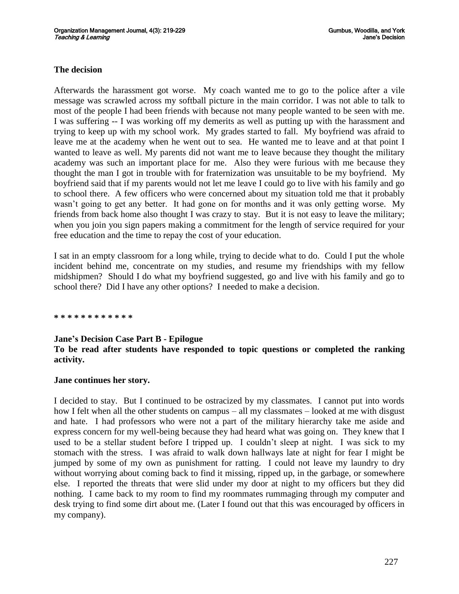#### **The decision**

Afterwards the harassment got worse. My coach wanted me to go to the police after a vile message was scrawled across my softball picture in the main corridor. I was not able to talk to most of the people I had been friends with because not many people wanted to be seen with me. I was suffering -- I was working off my demerits as well as putting up with the harassment and trying to keep up with my school work. My grades started to fall. My boyfriend was afraid to leave me at the academy when he went out to sea. He wanted me to leave and at that point I wanted to leave as well. My parents did not want me to leave because they thought the military academy was such an important place for me. Also they were furious with me because they thought the man I got in trouble with for fraternization was unsuitable to be my boyfriend. My boyfriend said that if my parents would not let me leave I could go to live with his family and go to school there. A few officers who were concerned about my situation told me that it probably wasn't going to get any better. It had gone on for months and it was only getting worse. My friends from back home also thought I was crazy to stay. But it is not easy to leave the military; when you join you sign papers making a commitment for the length of service required for your free education and the time to repay the cost of your education.

I sat in an empty classroom for a long while, trying to decide what to do. Could I put the whole incident behind me, concentrate on my studies, and resume my friendships with my fellow midshipmen? Should I do what my boyfriend suggested, go and live with his family and go to school there? Did I have any other options? I needed to make a decision.

**\* \* \* \* \* \* \* \* \* \* \* \***

#### **Jane's Decision Case Part B - Epilogue**

#### **To be read after students have responded to topic questions or completed the ranking activity.**

#### **Jane continues her story.**

I decided to stay. But I continued to be ostracized by my classmates. I cannot put into words how I felt when all the other students on campus – all my classmates – looked at me with disgust and hate. I had professors who were not a part of the military hierarchy take me aside and express concern for my well-being because they had heard what was going on. They knew that I used to be a stellar student before I tripped up. I couldn't sleep at night. I was sick to my stomach with the stress. I was afraid to walk down hallways late at night for fear I might be jumped by some of my own as punishment for ratting. I could not leave my laundry to dry without worrying about coming back to find it missing, ripped up, in the garbage, or somewhere else. I reported the threats that were slid under my door at night to my officers but they did nothing. I came back to my room to find my roommates rummaging through my computer and desk trying to find some dirt about me. (Later I found out that this was encouraged by officers in my company).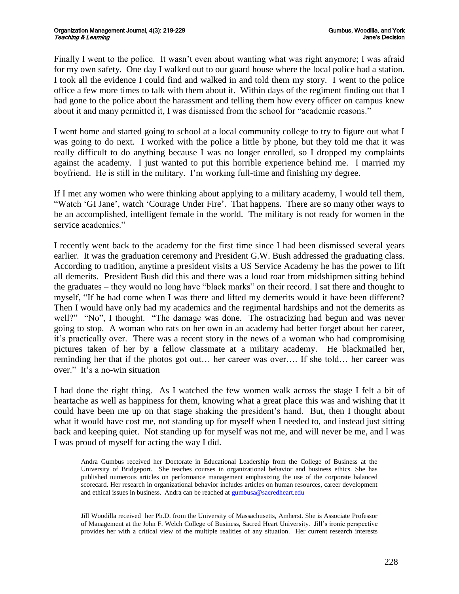Finally I went to the police. It wasn't even about wanting what was right anymore; I was afraid for my own safety. One day I walked out to our guard house where the local police had a station. I took all the evidence I could find and walked in and told them my story. I went to the police office a few more times to talk with them about it. Within days of the regiment finding out that I had gone to the police about the harassment and telling them how every officer on campus knew about it and many permitted it, I was dismissed from the school for "academic reasons."

I went home and started going to school at a local community college to try to figure out what I was going to do next. I worked with the police a little by phone, but they told me that it was really difficult to do anything because I was no longer enrolled, so I dropped my complaints against the academy. I just wanted to put this horrible experience behind me. I married my boyfriend. He is still in the military. I'm working full-time and finishing my degree.

If I met any women who were thinking about applying to a military academy, I would tell them, ―Watch ‗GI Jane', watch ‗Courage Under Fire'. That happens. There are so many other ways to be an accomplished, intelligent female in the world. The military is not ready for women in the service academies."

I recently went back to the academy for the first time since I had been dismissed several years earlier. It was the graduation ceremony and President G.W. Bush addressed the graduating class. According to tradition, anytime a president visits a US Service Academy he has the power to lift all demerits. President Bush did this and there was a loud roar from midshipmen sitting behind the graduates – they would no long have "black marks" on their record. I sat there and thought to myself, "If he had come when I was there and lifted my demerits would it have been different? Then I would have only had my academics and the regimental hardships and not the demerits as well?" "No", I thought. "The damage was done. The ostracizing had begun and was never going to stop. A woman who rats on her own in an academy had better forget about her career, it's practically over. There was a recent story in the news of a woman who had compromising pictures taken of her by a fellow classmate at a military academy. He blackmailed her, reminding her that if the photos got out… her career was over…. If she told… her career was over." It's a no-win situation

I had done the right thing. As I watched the few women walk across the stage I felt a bit of heartache as well as happiness for them, knowing what a great place this was and wishing that it could have been me up on that stage shaking the president's hand. But, then I thought about what it would have cost me, not standing up for myself when I needed to, and instead just sitting back and keeping quiet. Not standing up for myself was not me, and will never be me, and I was I was proud of myself for acting the way I did.

Andra Gumbus received her Doctorate in Educational Leadership from the College of Business at the University of Bridgeport. She teaches courses in organizational behavior and business ethics. She has published numerous articles on performance management emphasizing the use of the corporate balanced scorecard. Her research in organizational behavior includes articles on human resources, career development and ethical issues in business. Andra can be reached at [gumbusa@sacredheart.edu](mailto:gumbusa@sacredheart.edu)

Jill Woodilla received her Ph.D. from the University of Massachusetts, Amherst. She is Associate Professor of Management at the John F. Welch College of Business, Sacred Heart University. Jill's ironic perspective provides her with a critical view of the multiple realities of any situation. Her current research interests